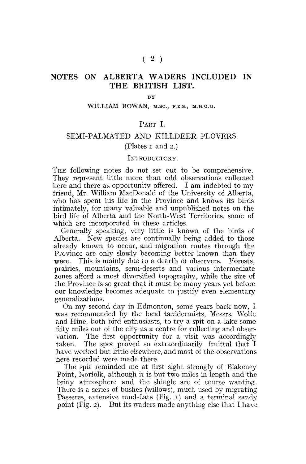# NOTES ON ALBERTA WADERS INCLUDED IN THE BRITISH LIST.

**BY** 

#### WILLIAM ROWAN, M.SC, F.Z.S., M.B.O.U.

#### PART I.

# SEMI-PALMATED AND KILLDEER PLOVERS.

#### (Plates  $\bar{x}$  and  $\bar{z}$ .)

#### INTRODUCTORY.

THE following notes do not set out to be comprehensive. They represent little more than odd observations collected here and there as opportunity offered. I am indebted to my friend, Mr. William MacDonald of the University of Alberta, who has spent his life in the Province and knows its birds intimately, for many valuable and unpublished notes on the bird life of Alberta and the North-West Territories, some of which are incorporated in these articles.

Generally speaking, very little is known of the birds of Alberta. New species are continually being added to those New species are continually being added to those already known to occur, and migration routes through the Province are only slowly becoming better known than they were. This is mainly due to a dearth oi observers. Forests, prairies, mountains, semi-deserts and various intermediate zones afford a most diversified topography, while the size of the Province is so great that it must be many years yet before our knowledge becomes adequate to justify even elementary generalizations.

On my second day in Edmonton, some years back now, I was recommended by the local taxidermists, Messrs. Wolfe and Hine, both bird enthusiasts, to try a spit on a lake some fifty miles out of the city as a centre for collecting and observation. The first opportunity for a visit was accordinglytaken. The spot proved so extraordinarily fruitful that I have worked but little elsewhere, and most of the observations here recorded were made there.

The spit reminded me at first sight strongly of Blakeney Point, Norfolk, although it is but two miles in length and the briny atmosphere and the shingle are of course wanting. There is a series of bushes (willows), much used by migrating Passeres, extensive mud-flats (Fig.  $\iota$ ) and a terminal sandy point (Fig. 2). But its waders made anything else that I have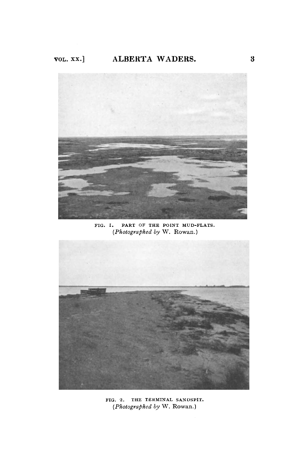

FIG. I. PART OF THE POINT MUD-FLATS. *(Photographed by* W. Rowan.)



FIG. 2. THE TERMINAL SANDSPIT. *(Photographed by* W. Rowan.)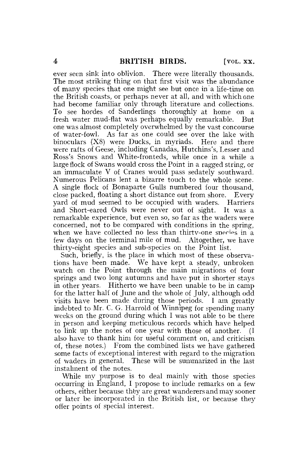ever seen sink into oblivion. There were literally thousands. The most striking thing on that first visit was the abundance of many species that one might see but once in a life-time on the British coasts, or perhaps never at all, and with which one had become familiar only through literature and collections. To see hordes of Sanderlings thoroughly at home on a fresh water mud-flat was perhaps equally remarkable. But one was almost completely overwhelmed by the vast concourse of water-fowl. As far as one could see over the lake with binoculars (X8) were Ducks, in myriads. Here and there were rafts of Geese, including Canadas, Hutchins's, Lesser and Ross's Snows and White-fronteds, while once in a while a large flock of Swans would cross the Point in a ragged string, or an immaculate V of Cranes would pass sedately southward. Numerous Pelicans lent a bizarre touch to the whole scene. A single flock of Bonaparte Gulls numbered four thousand, close packed, floating a short distance out from shore. Every yard of mud seemed to be occupied with waders. Harriers and Short-eared Owls were never out of sight. It was a remarkable experience, but even so, so far as the waders were concerned, not to be compared with conditions in the spring, when we have collected no less than thirty-one species in a few days on the terminal mile of mud. Altogether, we have thirty-eight species and sub-species on the Point list.

Such, briefly, is the place in which most of these observations have been made. We have kept a steady, unbroken watch on the Point through the main migrations of four springs and two long autumns and have put in shorter stays in other years. Hitherto we have been unable to be in camp for the latter half of June and the whole of July, although odd visits have been made during those periods. I am greatly indebted to Mr. C. G. Harrold of Winnipeg for spending many weeks on the ground during which I was not able to be there in person and keeping meticulous records which have helped to link up the notes of one year with those of another. also have to thank him for useful comment on, and criticism of, these notes.) From the combined lists we have gathered some facts of exceptional interest with regard to the migration of waders in general. These will be summarized in the last instalment of the notes.

While my purpose is to deal mainly with those species occurring in England, I propose to include remarks on a few others, either because they are great wanderers and may sooner or later be incorporated in the British list, or because they offer points of special interest.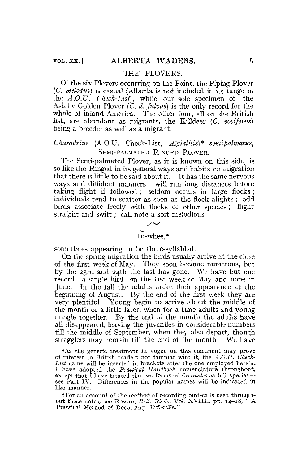#### THE PLOVERS.

Of the six Plovers occurring on the Point, the Piping Plover (C. *melodus)* is casual (Alberta is not included in its range in the *A.0X1. Check-List),* while our sole specimen of the Asiatic Golden Plover *(C. d. fulvus)* is the only record for the whole of inland America. The other four, all on the British list, are abundant as migrants, the Killdeer (C. *vociferus)*  being a breeder as well as a migrant.

### *Charadrius* (A.O.U. Check-List, *Mgialitis)\* semipalmatus,*  SEMI-PALMATED RINGED PLOVER.

The Semi-palmated Plover, as it is known on this side, is so like the Ringed in its general ways and habits on migration that there is little to be said about it. It has the same nervous ways and diffident manners; will run long distances before taking flight if followed; seldom occurs in large flocks; individuals tend to scatter as soon as the flock alights ; odd birds associate freely with flocks of other species ; flight straight and swift; call-note a soft melodious

# tu-whee,\*

sometimes appearing to be three-syllabled.

On the spring migration the birds usually arrive at the close of the first week of May. They soon become numerous, but by the 23rd and 24th the last has gone. We have but one record—a single bird—in the last week of May and none in June. In the fall the adults make their appearance at the beginning of August. By the end of the first week they are very plentiful. Young begin to arrive about the middle of the month or a little later, when for a time adults and young mingle together. By the end of the month the adults have all disappeared, leaving the juveniles in considerable numbers till the middle of September, when they also depart, though stragglers may remain till the end of the month. We have

•As the generic treatment ia vogue on this continent may prove of interest to British readers not familiar with it, the *A.O.U. Check-List* name wiil be inserted in brackets after the one employed herein. I have adopted the *Practical Handbook* nomenclature throughout, except that I have treated the two forms of *Ereunetes* as full species see Part IV. Differences in the popular names will be indicated in like manner.

f For an account of the method of recording bird-calls used throughout these notes, see Rowan, Brit. Birds, Vol. XVIII., pp. 14-18, Practical Method of Recording Bird-calls."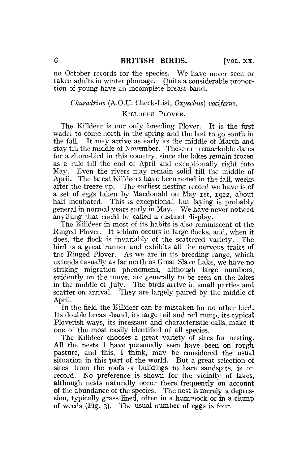no October records for the species. We have never seen or taken adults in winter plumage. Quite a considerable proportion of young have an incomplete breast-band.

#### *Charadrins* (A.O.U. Check-List, *Oxyechus) vociferus,*

#### KILLDEER PLOVER.

The Killdeer is our only breeding Plover. It is the first wader to come north in the spring and the last to go south in the fall. It may arrive as early as the middle of March and stay till the middle of November. These are remarkable dates for a shore-bird in this country, since the lakes remain frozen as a rule till the end of April and exceptionally right into May. Even the rivers may remain solid till the middle of April. The latest Killdeers have been noted in the fall, weeks after the freeze-up. The earliest nesting record we have is of a set of eggs taken by Macdonald on May 1st, 1922, about half incubated. This is exceptional, but laving is probably general in normal years early in May. We have never noticed anything that could be called.a distinct display.

The Killdeer in most of its habits is also reminiscent of the Ringed Plover. It seldom occurs in large flocks, and, when it does, the flock is invariably of the scattered variety. The bird is a great runner and exhibits all the nervous traits of the Ringed Plover. As we are in its breeding range, which extends casually as far north as Great Slave Lake, we have no striking migration phenomena, although large numbers, evidently on the move, are generally to be seen on the lakes in the middle of July. The birds arrive in small parties and scatter on arrival. They are largely paired by the middle of April.

In the field the Killdeer can be mistaken for no other bird. Its double breast-band, its large tail and red rump, its typical Ploverish ways, its incessant and characteristic calls, make it one of the most easily identified of all species.

The Killdeer chooses a great variety of sites for nesting. All the nests I have personally seen have been on rough pasture, and this, I think, may be considered the usual situation in this part of the world. But a great selection of sites, from the roofs of buildings to bare sandspits, is on record. No preference is shown for the vicinity of lakes, although nests naturally occur there frequently on account of the abundance of the species. The nest is merely a depression, typically grass lined, often in a hummock or in a clump of weeds (Fig. 3). The usual number of eggs is four.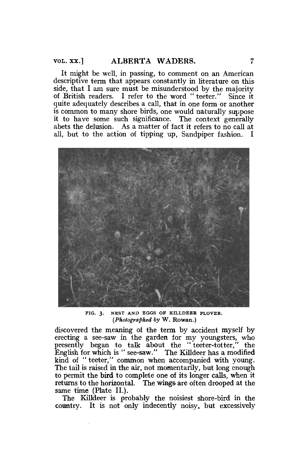It might be well, in passing, to comment on an American descriptive term that appears constantly in literature on this side, that I am sure must be misunderstood by the majority of British readers. I refer to the word " teeter." Since it quite adequately describes a call, that in one form or another is common to many shore birds, one would naturally suppose it to have some such significance. The context generally abets the delusion. As a matter of fact it refers to no call at all, but to the action of tipping up, Sandpiper fashion. I



**FIG. 3 . NEST AND EGGS OF KILLDEER PLOVER.**  *(Photographed by* W. Rowan.)

discovered the meaning of the term by accident myself by erecting a see-saw in the garden for my youngsters, who presently began to talk about the "teeter-totter," the English for which is " see-saw." The Killdeer has a modified kind of " teeter," common when accompanied with young. The tail is raised in the air, not momentarily, but long enough to permit the bird to complete one of its longer calls, when it returns to the horizontal. The wings are often drooped at the same time (Plate II.).

The Killdeer is probably the noisiest shore-bird in the country. It is not only indecently noisy, but excessively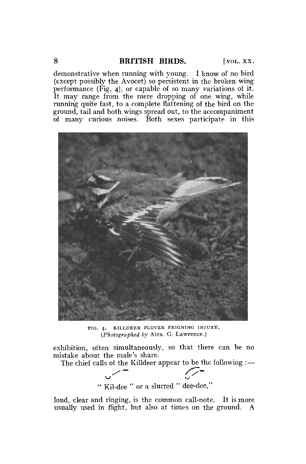demonstrative when running with young. I know of no bird (except possibly the Avocet) so persistent in the broken wing performance (Fig. 4), or capable of so many variations ol it. It may range from the mere dropping of one wing, while running quite fast, to a complete flattening of the bird on the ground, tail and both wings spread out, to the accompaniment of many curious noises. Both sexes participate in this



FIG. 4. K1LLDEER PLOVER FEIGNING INJURY. *(Photographed by* Alex. G. Lawrence.)

exhibition, often simultaneously, so that there can be no mistake about the male's share.

The chief calls of the Killdeer appear to be the following : —

$$
\begin{array}{c}\n\hline\n\end{array}
$$
 "Kil-dee " or a slurred "dee-dee,"

loud, clear and ringing, is the common call-note. It is more usually used in flight, but also at times on the ground. A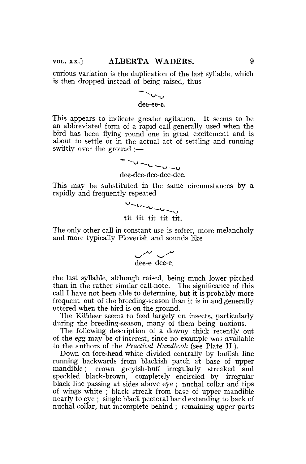curious variation is the duplication of the last syllable, which is then dropped instead of being raised, thus

## $\sim$ U $\sim$ U dee-ee-e.

This appears to indicate greater agitation. It seems to be an abbreviated form of a rapid call generally used when the bird has been flying round one in great excitement and is about to settle or in the actual act of settling and running swiftly over the ground :—

> $-0$  -  $0$  -  $0$  -  $0$ dee-dee-dee-dee-dee.

This may be substituted in the same circumstances by a rapidly and frequently repeated

> $0 - 0 - 0 - 0 - 0$ tit tit tit tit tit.

The only other call in constant use is softer, more melancholy and more typically Ploverish and sounds like

 $\overline{\smash{\bigcup_{\substack{\text{dee-e}}{\text{dee-e}}}}}$ 

the last syllable, although raised, being much lower pitched than in the rather similar call-note. The significance of this call I have not been able to determine, but it is probably more frequent out of the breeding-season than it is in and generally uttered when the bird is on the ground.

The Killdeer seems to feed largely on insects, particularly during the breeding-season, many of them being noxious.

The following description of a downy chick recently out of the egg may be of interest, since no example was available to the authors of the *Practical Handbook* (see Plate II.).

Down on fore-head white divided centrally by buffish line running backwards from blackish patch at base of upper mandible; crown greyish-buff irregularly streaked and speckled black-brown, completely encircled by irregular black line passing at sides above eye ; nuchal collar and tips of wings white ; black streak from base of upper mandible nearly to eye ; single black pectoral band extending to back of nuchal collar, but incomplete behind ; remaining upper parts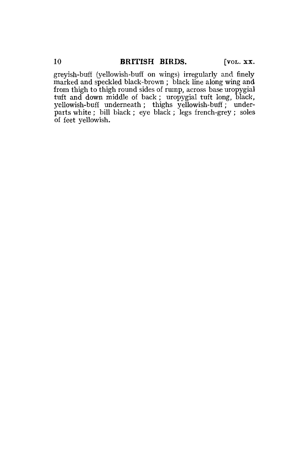greyish-buff (yellowish-buff on wings) irregularly and finely marked and speckled black-brown ; black line along wing and from thigh to thigh round sides of rump, across base uropygial tuft and down middle of back; uropygial tuft long, black, yellowish-buff underneath; thighs yellowish-buff; underparts white ; bill black ; eye black ; legs french-grey ; soles of feet yellowish.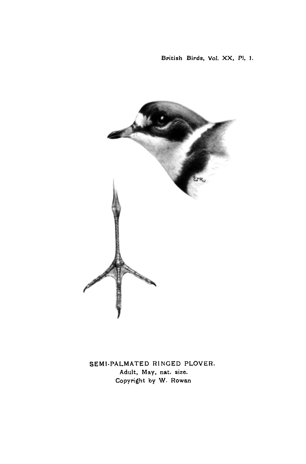British Birds, Vol. XX, PI. 1.



SEMI-PALMATED RINGED PLOVER. Adult, May, nat. size. Copyright by W. Rowan